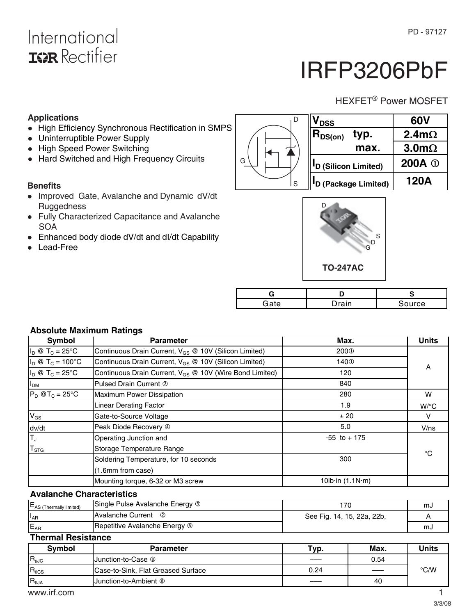## International **ISR** Rectifier

# IRFP3206PbF

### HEXFET<sup>®</sup> Power MOSFET

#### **Applications**

- High Efficiency Synchronous Rectification in SMPS
- Uninterruptible Power Supply
- High Speed Power Switching
- Hard Switched and High Frequency Circuits

#### **Benefits**

- Improved Gate, Avalanche and Dynamic dV/dt **Ruggedness**
- Fully Characterized Capacitance and Avalanche **SOA**
- Enhanced body diode dV/dt and dI/dt Capability
- -Lead-Free





| Gate | าrain | ource |
|------|-------|-------|

#### **Absolute Maximum Ratings**

| Symbol                           | <b>Parameter</b>                                                    | Max.                           | <b>Units</b> |  |
|----------------------------------|---------------------------------------------------------------------|--------------------------------|--------------|--|
| $I_D \otimes T_C = 25^{\circ}C$  | Continuous Drain Current, V <sub>GS</sub> @ 10V (Silicon Limited)   | 200 <sup>0</sup>               |              |  |
| $I_D \otimes T_C = 100^{\circ}C$ | Continuous Drain Current, V <sub>GS</sub> @ 10V (Silicon Limited)   | 140 <sup>0</sup>               |              |  |
| $I_D \otimes T_C = 25^{\circ}C$  | Continuous Drain Current, V <sub>GS</sub> @ 10V (Wire Bond Limited) | 120                            | A            |  |
| I <sub>DM</sub>                  | Pulsed Drain Current 2                                              | 840                            |              |  |
| $P_D$ @T <sub>C</sub> = 25°C     | Maximum Power Dissipation                                           | 280                            | W            |  |
|                                  | <b>Linear Derating Factor</b>                                       | 1.9                            | $W$ /°C      |  |
| $V_{GS}$                         | Gate-to-Source Voltage                                              | ± 20                           | v            |  |
|                                  | Peak Diode Recovery 4                                               | 5.0                            | V/ns         |  |
| $\frac{dv/dt}{T_J}$              | Operating Junction and                                              | $-55$ to $+175$                |              |  |
| $T_{STG}$                        | Storage Temperature Range                                           |                                | °C           |  |
|                                  | Soldering Temperature, for 10 seconds                               | 300                            |              |  |
|                                  | (1.6mm from case)                                                   |                                |              |  |
|                                  | Mounting torque, 6-32 or M3 screw                                   | 10 $b \cdot in (1.1N \cdot m)$ |              |  |

G

#### **Avalanche Characteristics**

| $E_{AS}$ (Thermally limited) | Single Pulse Avalanche Energy 3 |                            | സ്പ |
|------------------------------|---------------------------------|----------------------------|-----|
| $I_{AR}$                     | <b>Avalanche Current</b><br>ි   | See Fig. 14, 15, 22a, 22b, |     |
| E <sub>AR</sub>              | Repetitive Avalanche Energy 5   |                            | m.  |

### **Thermal Resistance**

| <b>Symbol</b>   | <b>Parameter</b>                   | Typ. | Max.                           | Units         |
|-----------------|------------------------------------|------|--------------------------------|---------------|
| $R_{0JC}$       | Junction-to-Case <sup>®</sup>      |      | 0.54                           |               |
| $R_{\theta CS}$ | Case-to-Sink, Flat Greased Surface | 0.24 | $\overbrace{\hspace{25mm}}^{}$ | $\degree$ C/W |
| $R_{0JA}$       | Junction-to-Ambient <sup>®</sup>   |      | 40                             |               |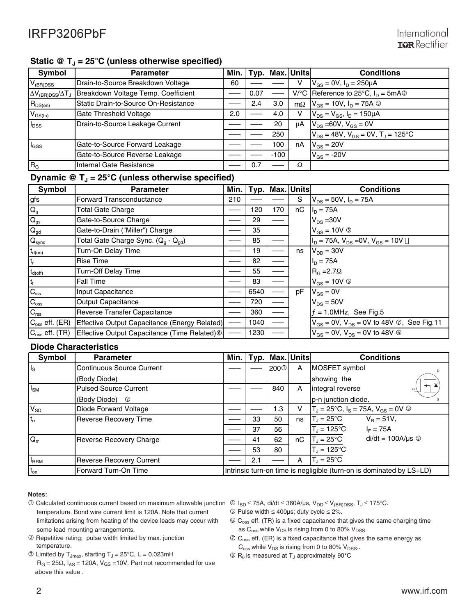### Static @ T<sub>J</sub> = 25°C (unless otherwise specified)

| Symbol                                    | <b>Parameter</b>                     | Min. | Tvp. |        | Max. Units | <b>Conditions</b>                                     |
|-------------------------------------------|--------------------------------------|------|------|--------|------------|-------------------------------------------------------|
| $V_{(BR)DSS}$                             | Drain-to-Source Breakdown Voltage    | 60   |      |        | v          | $V_{GS} = 0V$ , $I_D = 250 \mu A$                     |
| $\Delta V_{\rm (BR)DSS}/\Delta T_{\rm J}$ | Breakdown Voltage Temp. Coefficient  |      | 0.07 |        |            | V/°C Reference to 25°C, $I_D = 5mA$ ©                 |
| $R_{DS(on)}$                              | Static Drain-to-Source On-Resistance |      | 2.4  | 3.0    | $m\Omega$  | $V_{GS}$ = 10V, $I_D$ = 75A $\circledcirc$            |
| $V_{GS(th)}$                              | Gate Threshold Voltage               | 2.0  |      | 4.0    |            | $V_{DS} = V_{GS}$ , $I_D = 150 \mu A$                 |
| l <sub>DSS</sub>                          | Drain-to-Source Leakage Current      |      |      | 20     | μA         | $V_{DS} = 60V$ , $V_{GS} = 0V$                        |
|                                           |                                      |      |      | 250    |            | $V_{DS}$ = 48V, $V_{GS}$ = 0V, T <sub>J</sub> = 125°C |
| $I_{GSS}$                                 | Gate-to-Source Forward Leakage       |      |      | 100    | nA         | $V_{GS}$ = 20V                                        |
|                                           | Gate-to-Source Reverse Leakage       |      |      | $-100$ |            | $V_{GS}$ = -20V                                       |
| $ R_G$                                    | Internal Gate Resistance             |      | 0.7  |        | Ω          |                                                       |

#### Dynamic @ T<sub>J</sub> = 25°C (unless otherwise specified)

| Symbol                    | <b>Parameter</b>                                            | Min. | Typ. |     | Max. Units | <b>Conditions</b>                                          |
|---------------------------|-------------------------------------------------------------|------|------|-----|------------|------------------------------------------------------------|
| gfs                       | Forward Transconductance                                    | 210  |      |     | S          | $V_{DS} = 50V$ , $I_D = 75A$                               |
| $\mathsf{Q}_{\mathsf{g}}$ | <b>Total Gate Charge</b>                                    |      | 120  | 170 | nC         | $I_D = 75A$                                                |
| $\mathsf{Q}_\text{gs}$    | Gate-to-Source Charge                                       |      | 29   |     |            | $V_{DS}$ = 30V                                             |
| $\mathbf{Q}_{\text{gd}}$  | Gate-to-Drain ("Miller") Charge                             |      | 35   |     |            | $V_{GS} = 10V$ (5)                                         |
| $Q_{sync}$                | Total Gate Charge Sync. (Q <sub>a</sub> - Q <sub>ad</sub> ) |      | 85   |     |            | $I_D = 75A$ , $V_{DS} = 0V$ , $V_{GS} = 10V$               |
| $t_{d(on)}$               | Turn-On Delay Time                                          |      | 19   |     | ns         | $V_{DD} = 30V$                                             |
| $t_r$                     | <b>Rise Time</b>                                            |      | 82   |     |            | $I_{D} = 75A$                                              |
| $t_{d(\text{off})}$       | Turn-Off Delay Time                                         |      | 55   |     |            | $R_G = 2.7\Omega$                                          |
| $ t_f $                   | <b>Fall Time</b>                                            |      | 83   |     |            | $V_{GS} = 10V$ (5)                                         |
| $C_{iss}$                 | Input Capacitance                                           |      | 6540 |     | рF         | $V_{GS} = 0V$                                              |
| $C_{\rm oss}$             | <b>Output Capacitance</b>                                   |      | 720  |     |            | $V_{DS} = 50V$                                             |
| $C_{\text{rss}}$          | Reverse Transfer Capacitance                                |      | 360  |     |            | $f = 1.0$ MHz, See Fig.5                                   |
| $C_{\rm oss}$ eff. (ER)   | Effective Output Capacitance (Energy Related)               |      | 1040 |     |            | $V_{GS}$ = 0V, $V_{DS}$ = 0V to 48V $\oslash$ , See Fig.11 |
| $C_{\rm oss}$ eff. (TR)   |                                                             |      | 1230 |     |            | $V_{GS} = 0V$ , $V_{DS} = 0V$ to 48V $\circledcirc$        |

#### **Diode Characteristics**

| Symbol              | <b>Parameter</b>                 | Min. | Tvp. |                  | Max. Units | <b>Conditions</b>                                                    |
|---------------------|----------------------------------|------|------|------------------|------------|----------------------------------------------------------------------|
| Is                  | <b>Continuous Source Current</b> |      |      | 200 <sup>0</sup> | A          | MOSFET symbol                                                        |
|                     | (Body Diode)                     |      |      |                  |            | showing the                                                          |
| $I_{SM}$            | <b>Pulsed Source Current</b>     |      |      | 840              | A          | integral reverse                                                     |
|                     | (Body Diode)<br>$^{\circ}$       |      |      |                  |            | p-n junction diode.                                                  |
| $V_{SD}$            | Diode Forward Voltage            |      |      | 1.3              |            | $T_J = 25^{\circ}C$ , $I_S = 75A$ , $V_{GS} = 0V$ (5)                |
| $t_{rr}$            | <b>Reverse Recovery Time</b>     |      | 33   | 50               | ns         | $V_B = 51V,$<br>$T_J = 25^{\circ}C$                                  |
|                     |                                  |      | 37   | 56               |            | $T_{\text{J}}$ = 125°C<br>$I_F = 75A$                                |
| $\overline{Q_{rr}}$ | Reverse Recovery Charge          |      | 41   | 62               | nС         | $di/dt = 100A/\mu s$ <b>S</b><br>$T_{\rm d}$ = 25°C                  |
|                     |                                  |      | 53   | 80               |            | $T_{\rm J} = 125^{\circ}C$                                           |
| <b>IRRM</b>         | <b>Reverse Recovery Current</b>  |      | 2.1  |                  | А          | $T_{\rm d}$ = 25°C                                                   |
| $t_{on}$            | Forward Turn-On Time             |      |      |                  |            | Intrinsic turn-on time is negligible (turn-on is dominated by LS+LD) |

#### Notes:

- ① Calculated continuous current based on maximum allowable junction ①  $I_{SD}$  ≤ 75A, di/dt ≤ 360A/μs, V<sub>DD</sub> ≤ V<sub>(BR)DSS</sub>, T<sub>J</sub> ≤ 175°C. temperature. Bond wire current limit is 120A. Note that current limitations arising from heating of the device leads may occur with some lead mounting arrangements.
- Repetitive rating; pulse width limited by max. junction temperature.
- $\textcircled{1}$  Limited by T<sub>Jmax</sub>, starting T<sub>J</sub> = 25°C, L = 0.023mH
- $R_G = 25\Omega$ ,  $I_{AS} = 120A$ ,  $V_{GS} = 10V$ . Part not recommended for use above this value .
- 
- $\circledS$  Pulse width  $\leq 400$ μs; duty cycle  $\leq 2\%$ .
- Coss eff. (TR) is a fixed capacitance that gives the same charging time as  $C_{\text{oss}}$  while  $V_{DS}$  is rising from 0 to 80%  $V_{DSS}$ .
- $\circled{C}$  C<sub>oss</sub> eff. (ER) is a fixed capacitance that gives the same energy as  $C_{\rm oss}$  while  $V_{DS}$  is rising from 0 to 80%  $V_{DSS}$ .
- $\circledR$  R<sub>0</sub> is measured at T<sub>J</sub> approximately 90°C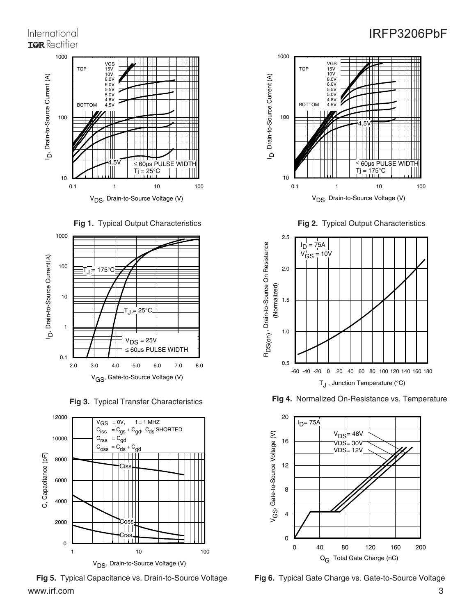### International **IOR** Rectifier









www.irf.com 3



**Fig 2.** Typical Output Characteristics



**Fig 3.** Typical Transfer Characteristics **Fig 4.** Normalized On-Resistance vs. Temperature



**Fig 5.** Typical Capacitance vs. Drain-to-Source Voltage **Fig 6.** Typical Gate Charge vs. Gate-to-Source Voltage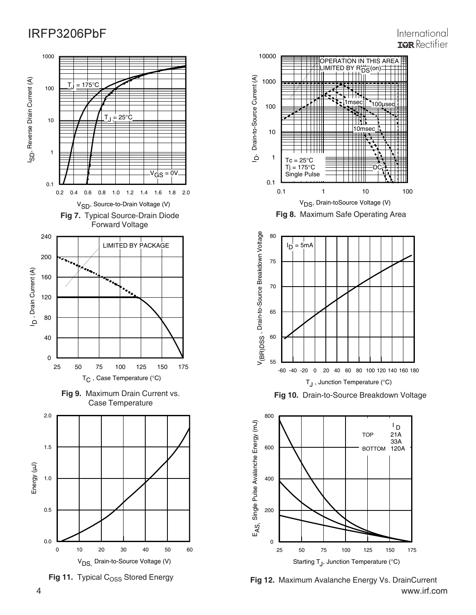### International **IGR** Rectifier







4 www.irf.com **Fig 12.** Maximum Avalanche Energy Vs. DrainCurrent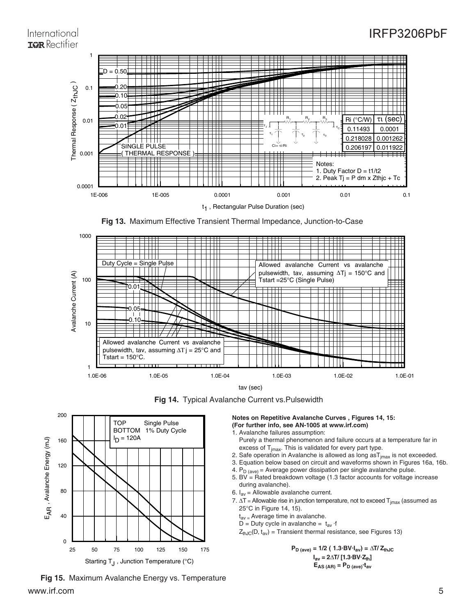### International **IGR** Rectifier

### IRFP3206PbF



**Fig 13.** Maximum Effective Transient Thermal Impedance, Junction-to-Case



**Fig 14.** Typical Avalanche Current vs.Pulsewidth



www.irf.com 5 **Fig 15.** Maximum Avalanche Energy vs. Temperature

**Notes on Repetitive Avalanche Curves , Figures 14, 15: (For further info, see AN-1005 at www.irf.com)**

1. Avalanche failures assumption:

Purely a thermal phenomenon and failure occurs at a temperature far in excess of  $T<sub>imax</sub>$ . This is validated for every part type.

- 2. Safe operation in Avalanche is allowed as long  $a s T_{jmax}$  is not exceeded.
- 3. Equation below based on circuit and waveforms shown in Figures 16a, 16b.
- 4.  $P_{D (ave)} =$  Average power dissipation per single avalanche pulse.

5. BV  $=$  Rated breakdown voltage (1.3 factor accounts for voltage increase during avalanche).

- 6.  $I_{av}$  = Allowable avalanche current.
- 7.  $\Delta T$  = Allowable rise in junction temperature, not to exceed  $T_{jmax}$  (assumed as 25°C in Figure 14, 15).
	- $t_{\text{av}}$  = Average time in avalanche.
	- D = Duty cycle in avalanche =  $t_{av}$  ·f

 $Z_{thJC}(D, t_{av})$  = Transient thermal resistance, see Figures 13)

 $P_{D \text{ (ave)}} = 1/2 (1.3 \text{ BV} \cdot I_{av}) = \Delta T / Z_{thJC}$  $I_{\text{av}} = 2 \Delta T / [1.3 \text{ BV} \cdot Z_{\text{th}}]$  $E_{AS (AR)} = P_{D (ave)} t_{av}$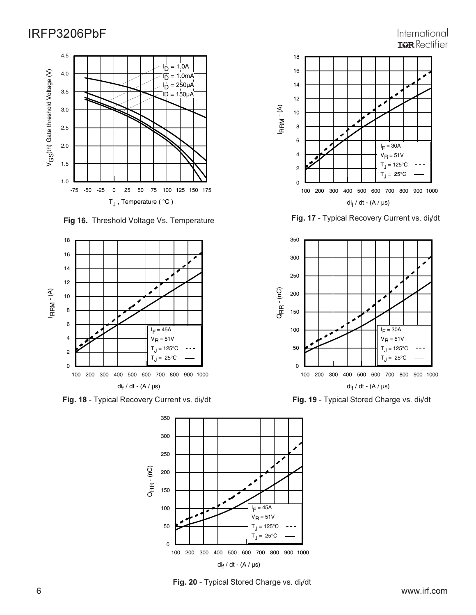#### -75 -50 -25 0 25 50 75 100 125 150 175  $T_J$ , Temperature ( $°C$ ) 1.0 1.5 2.0 2.5 3.0 3.5 4.0 4.5 V G S(th) Gate threshold Voltage (V) D  $= 1.0A$ Іõ  $= 1.0<sub>m</sub>A$ I<sub>D</sub> l<sub>D</sub> = 250μA<br>ID = 150μA  $= 150 \mu A$

**Fig 16.** Threshold Voltage Vs. Temperature



**Fig. 18** - Typical Recovery Current vs. di<sub>f</sub>/dt **Change is a string of Fig. 19** - Typical Stored Charge vs. di



**Fig. 20** - Typical Stored Charge vs. di<sub>f</sub>/dt



International

**Fig. 17** - Typical Recovery Current vs. di<sub>f</sub>



ypical Recovery Current vs. di<sub>f</sub>/dt **Fig. 19** - Typical Stored Charge vs. di<sub>f</sub>/dt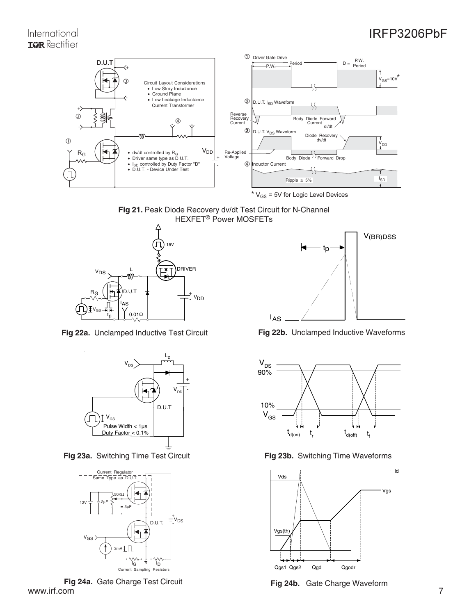

Fig 21. Peak Diode Recovery dv/dt Test Circuit for N-Channel HEXFET<sup>®</sup> Power MOSFETs



**Fig 22a.** Unclamped Inductive Test Circuit **Fig 22b.** Unclamped Inductive Waveforms



**Fig 23a.** Switching Time Test Circuit **Fig 23b.** Switching Time Waveforms



www.irf.com 7 **Fig 24a.** Gate Charge Test Circuit **Fig 24b.** Gate Charge Waveform www.irf.com